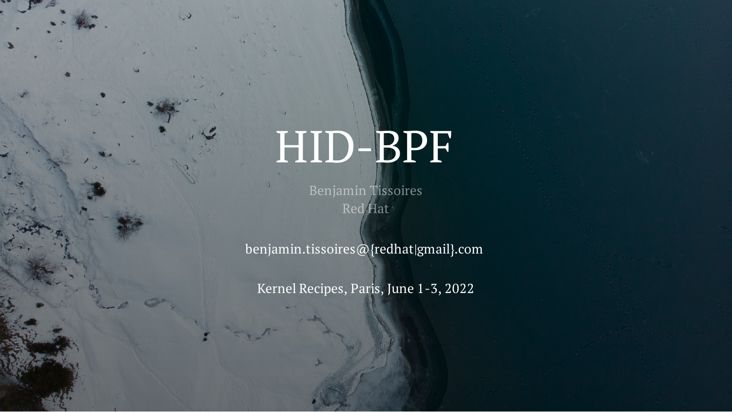# HID-BPF

Benjamin Tissoires Red Hat

benjamin.tissoires@{redhat|gmail}.com

Kernel Recipes, Paris, June 1-3, 2022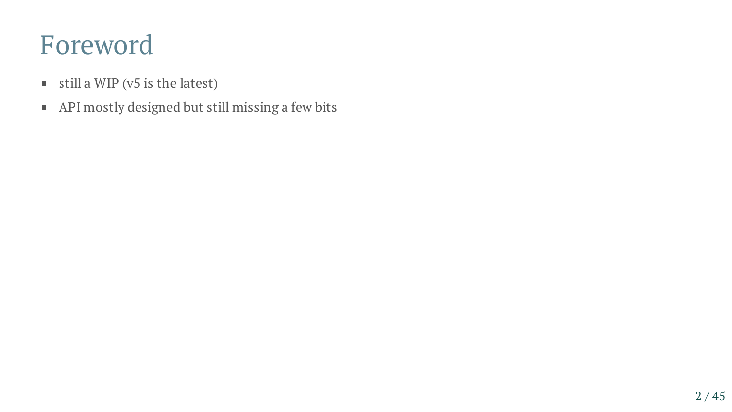#### Foreword

- $\blacksquare$  still a WIP (v5 is the latest)
- API mostly designed but still missing a few bits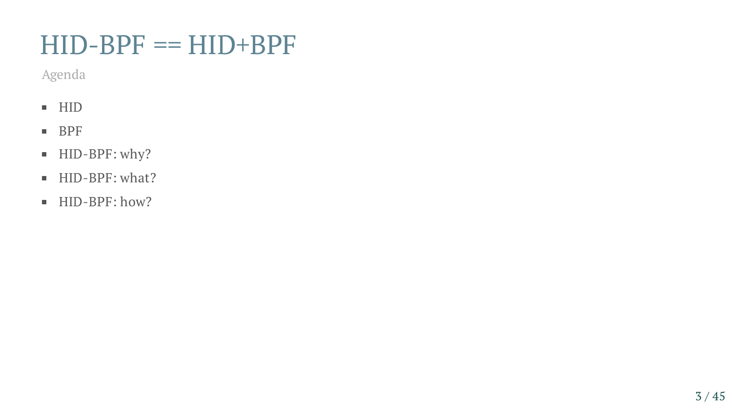#### $HID-BPF = HID+BPF$

Agenda

- $\blacksquare$  HID
- **BPF**
- HID-BPF: why?
- HID-BPF: what?
- HID-BPF: how?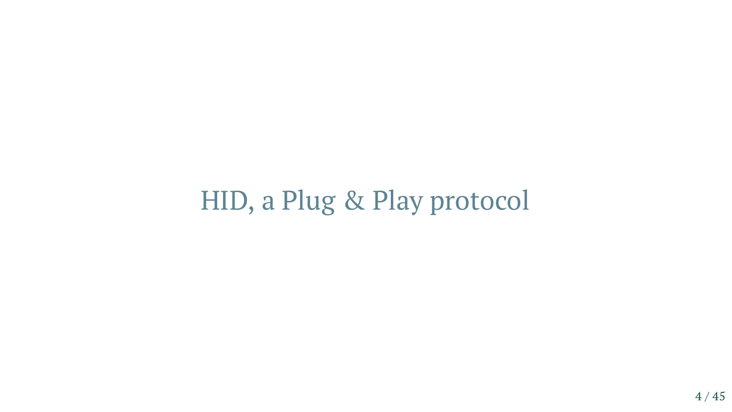#### HID, a Plug & Play protocol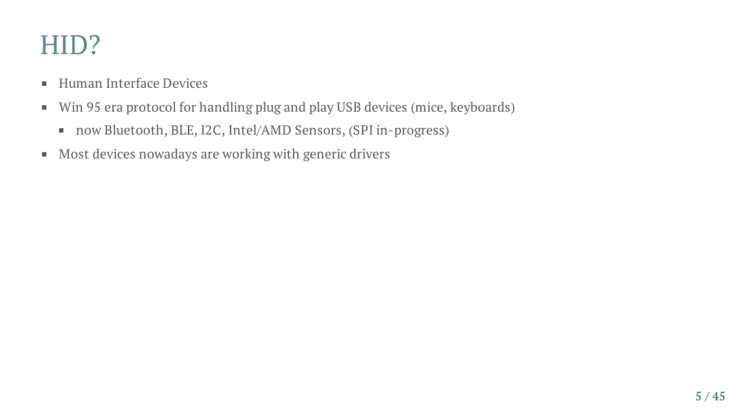#### HID?

- Human Interface Devices
- Win 95 era protocol for handling plug and play USB devices (mice, keyboards)  $\blacksquare$ 
	- now Bluetooth, BLE, I2C, Intel/AMD Sensors, (SPI in-progress)
- Most devices nowadays are working with generic drivers  $\blacksquare$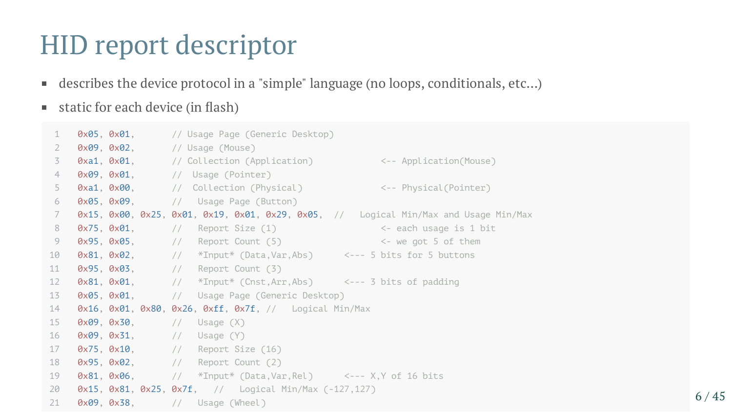#### HID report descriptor

- describes the device protocol in a "simple" language (no loops, conditionals, etc…)  $\blacksquare$
- static for each device (in flash)  $\blacksquare$

| 1                 |                                    | <b>0x05, 0x01,</b> // Usage Page (Generic Desktop)                                                           |  |
|-------------------|------------------------------------|--------------------------------------------------------------------------------------------------------------|--|
| $\overline{2}$    |                                    | 0x09, 0x02, // Usage (Mouse)                                                                                 |  |
| 3                 |                                    | <b>0xa1, 0x01, // Collection (Application) &lt;-- Application(Mouse)</b>                                     |  |
| 4                 |                                    | 0x09, 0x01, // Usage (Pointer)                                                                               |  |
| 5                 |                                    | 0xa1, 0x00, // Collection (Physical) <-- Physical(Pointer)                                                   |  |
| 6                 |                                    | 0x05, 0x09, // Usage Page (Button)                                                                           |  |
| 7                 |                                    | $0x15$ , $0x00$ , $0x25$ , $0x01$ , $0x19$ , $0x01$ , $0x29$ , $0x05$ , // Logical Min/Max and Usage Min/Max |  |
| 8                 |                                    | $0x75$ , $0x01$ , $//$ Report Size (1) $\leftarrow$ each usage is 1 bit                                      |  |
| 9                 |                                    | $0x95$ , $0x05$ , $1/$ Report Count $(5)$ $\leftarrow$ we got 5 of them                                      |  |
| 10                |                                    | $0x81$ , $0x02$ , $//$ *Input* (Data, Var, Abs) <--- 5 bits for 5 buttons                                    |  |
| 11                |                                    | 0x95, 0x03, // Report Count (3)                                                                              |  |
| $12 \overline{ }$ |                                    | $0x81, 0x01,$ // *Input* (Cnst, Arr, Abs) <--- 3 bits of padding                                             |  |
| 13                |                                    | 0x05, 0x01, // Usage Page (Generic Desktop)                                                                  |  |
| 14                |                                    | $0x16$ , $0x01$ , $0x80$ , $0x26$ , $0xff$ , $0x7f$ , $1/$ Logical Min/Max                                   |  |
| 15 <sub>1</sub>   | $0x09, 0x30,$ // Usage $(X)$       |                                                                                                              |  |
| 16                | $0x09$ , $0x31$ , $//$ Usage $(Y)$ |                                                                                                              |  |
| 17 <sup>2</sup>   |                                    | 0x75, 0x10, // Report Size (16)                                                                              |  |
| 18                |                                    | 0x95, 0x02, // Report Count (2)                                                                              |  |
| 19                |                                    | $0x81, 0x06,$ // *Input* (Data, Var, Rel) <--- X, Y of 16 bits                                               |  |
| 20                |                                    | $0x15$ , $0x81$ , $0x25$ , $0x7f$ , $//$ Logical Min/Max $(-127, 127)$                                       |  |
| 21                |                                    | 0x09, 0x38, // Usage (Wheel)                                                                                 |  |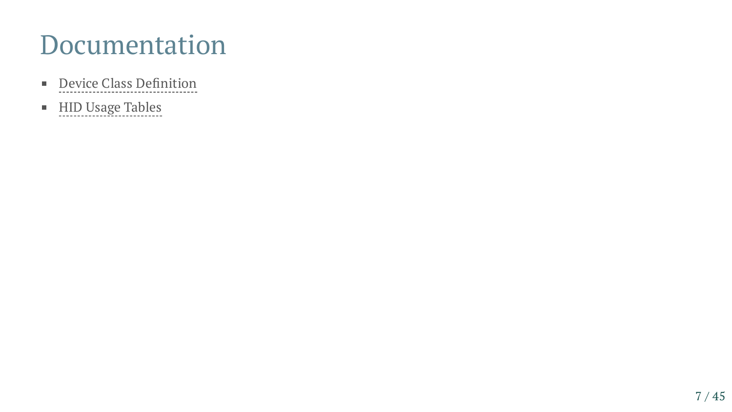#### Documentation

- Device Class [Definition](https://www.usb.org/document-library/device-class-definition-hid-111)  $\mathbf{m}$  .
- HID Usage [Tables](https://www.usb.org/document-library/hid-usage-tables-13)  $\blacksquare$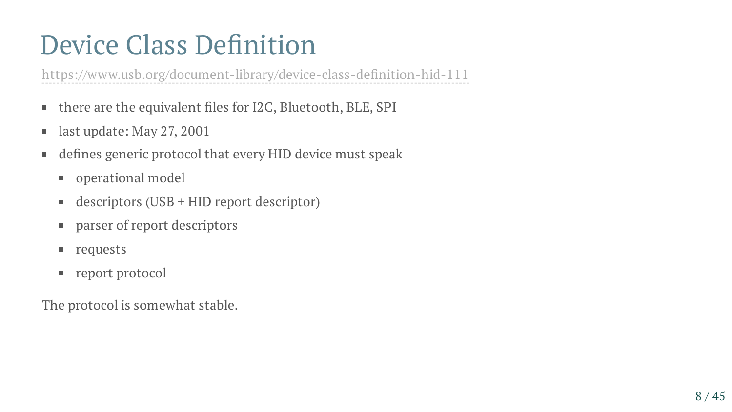### Device Class Definition

[https://www.usb.org/document-library/device-class-de](https://www.usb.org/document-library/device-class-definition-hid-111)fi[nition-hid-111](https://www.usb.org/document-library/device-class-definition-hid-111)<br>
• there are the equivalent files for I2C, Bluetooth, BLE, SPI<br>
• last update: May 27, 2001<br>
• defines generic protocol that every HID device must speak<br>

- there are the equivalent files for I2C, Bluetooth, BLE, SPI
- last update: May 27, 2001
- defines generic protocol that every HID device must speak
	- **properational model**
	- descriptors (USB + HID report descriptor)
	- parser of report descriptors
	- **requests**
	- report protocol

The protocol is somewhat stable.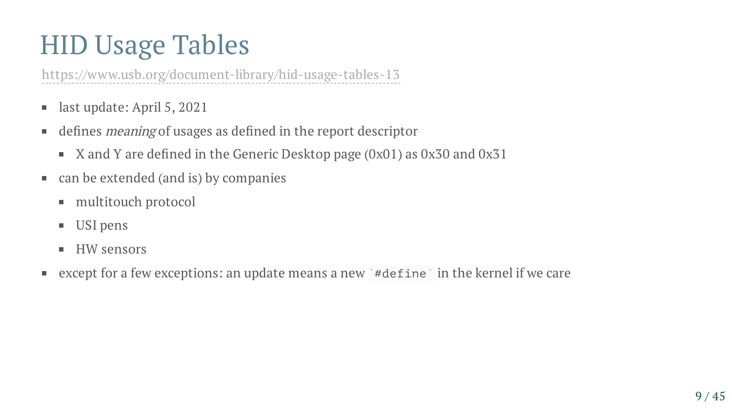#### HID Usage Tables

<https://www.usb.org/document-library/hid-usage-tables-13>

- last update: April 5, 2021  $\blacksquare$
- defines meaning of usages as defined in the report descriptor  $\blacksquare$ 
	- X and Y are defined in the Generic Desktop page (0x01) as 0x30 and 0x31  $\blacksquare$
- can be extended (and is) by companies
	- multitouch protocol
	- USI pens  $\Box$
	- HW sensors  $\blacksquare$
- except for a few exceptions: an update means a new  $\dot{a}$  #define  $\dot{a}$  in the kernel if we care ш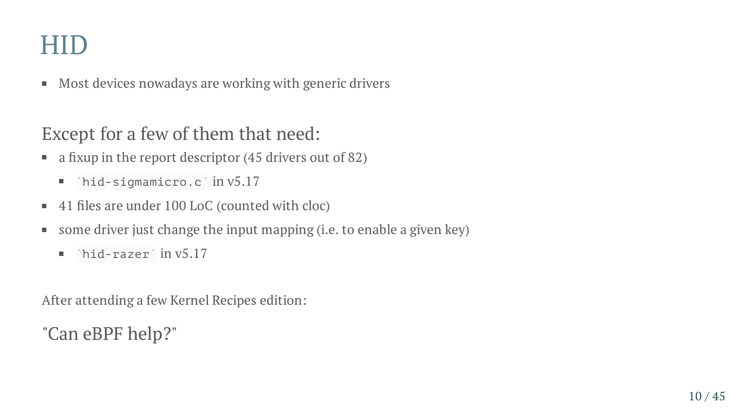#### HID

■ Most devices nowadays are working with generic drivers

#### Except for a few of them that need:

- a fixup in the report descriptor (45 drivers out of 82) ш
	- $'$ hid-sigmamicro.c $'$  in v5.17
- 41 files are under 100 LoC (counted with cloc)
- some driver just change the input mapping (i.e. to enable a given key)  $\blacksquare$ 
	- $'$ hid-razer $'$  in v $5.17$  $\overline{\phantom{a}}$

After attending a few Kernel Recipes edition:

"Can eBPF help?"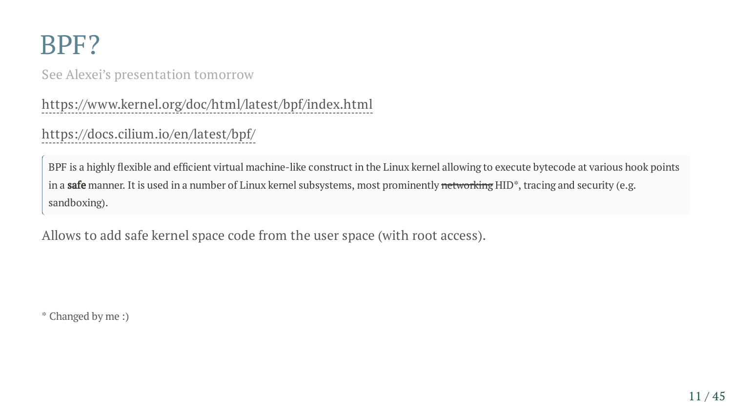#### BPF?

See Alexei's presentation tomorrow

<https://www.kernel.org/doc/html/latest/bpf/index.html>

#### <https://docs.cilium.io/en/latest/bpf/>

BPF is a highly flexible and efficient virtual machine-like construct in the Linux kernel allowing to execute bytecode at various hook points in a **safe** manner. It is used in a number of Linux kernel subsystems, most prominently networking HID<sup>\*</sup>, tracing and security (e.g. sandboxing).

Allows to add safe kernel space code from the user space (with root access).

\* Changed by me :)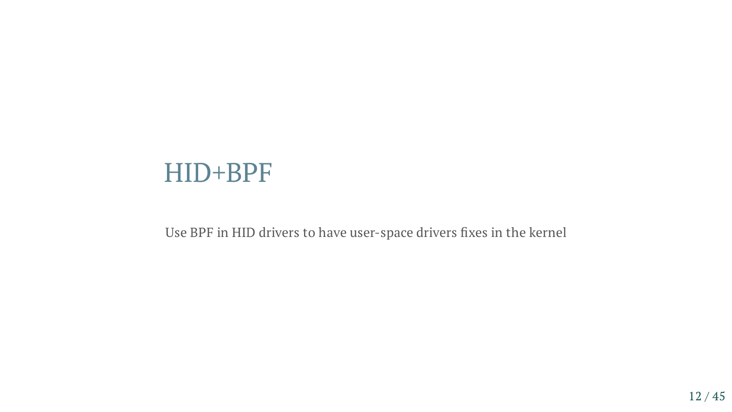#### HID+BPF

Use BPF in HID drivers to have user-space drivers fixes in the kernel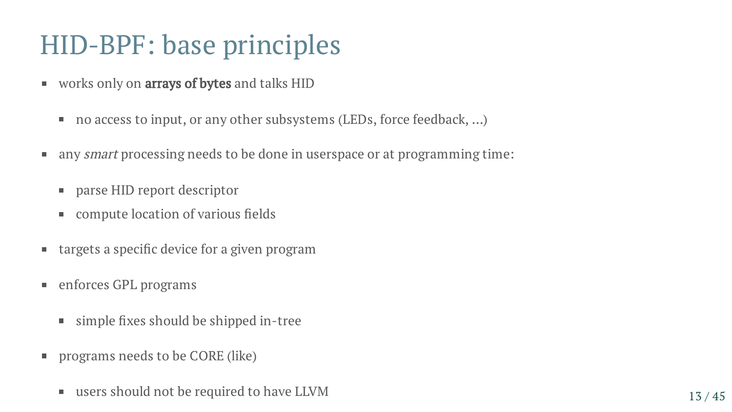#### HID-BPF: base principles

- works only on **arrays of bytes** and talks HID
	- no access to input, or any other subsystems (LEDs, force feedback, …)  $\Box$
- any *smart* processing needs to be done in userspace or at programming time:  $\blacksquare$ 
	- parse HID report descriptor
	- compute location of various fields
- targets a specific device for a given program  $\blacksquare$
- enforces GPL programs  $\blacksquare$ 
	- simple fixes should be shipped in-tree  $\mathcal{L}_{\mathcal{A}}$
- programs needs to be CORE (like)  $\blacksquare$ 
	- users should not be required to have LLVM  $13/45$  $\blacksquare$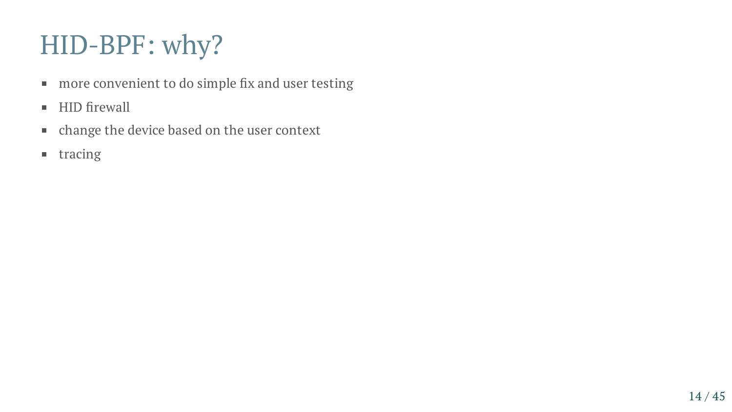- more convenient to do simple fix and user testing
- HID firewall
- change the device based on the user context
- **u** tracing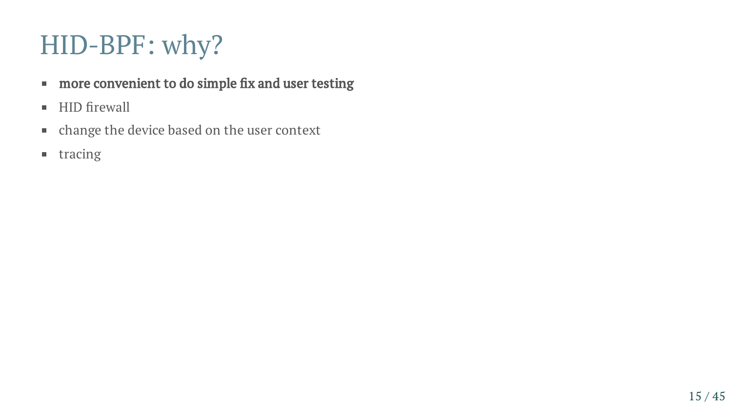- **more convenient to do simple fix and user testing**
- HID firewall
- change the device based on the user context
- **u** tracing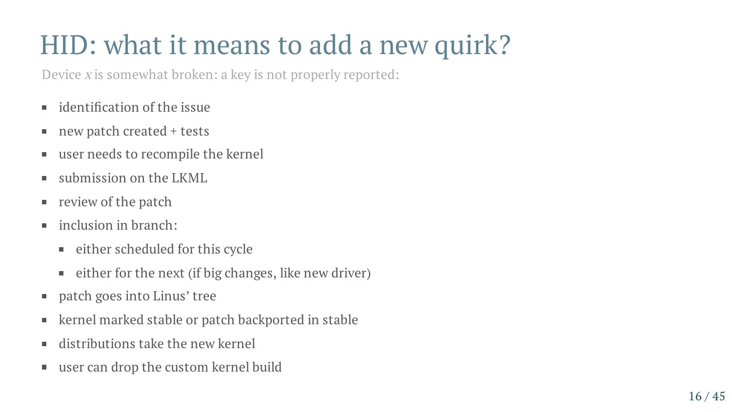## HID: what it means to add a new quirk?

Device <sup>x</sup> is somewhat broken: a key is not properly reported:

- $\blacksquare$  identification of the issue
- new patch created + tests  $\blacksquare$
- user needs to recompile the kernel  $\blacksquare$
- submission on the LKML п.
- review of the patch  $\blacksquare$
- inclusion in branch:  $\blacksquare$ 
	- either scheduled for this cycle
	- either for the next (if big changes, like new driver)  $\blacksquare$
- patch goes into Linus' tree  $\blacksquare$
- kernel marked stable or patch backported in stable  $\blacksquare$
- distributions take the new kernel  $\blacksquare$
- user can drop the custom kernel build  $\blacksquare$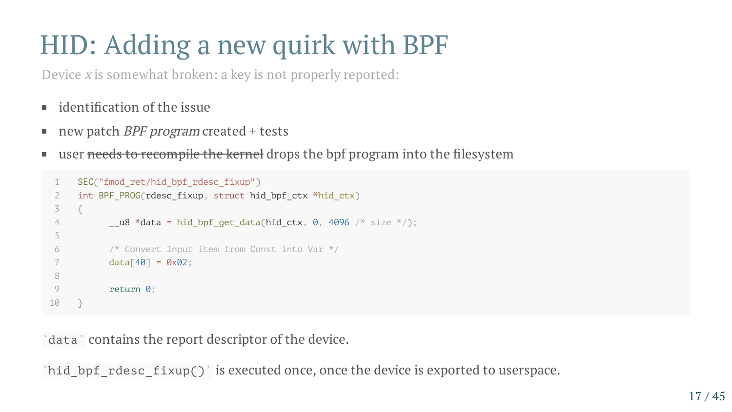## HID: Adding a new quirk with BPF

Device <sup>x</sup> is somewhat broken: a key is not properly reported:

- $\blacksquare$  identification of the issue
- new <del>patch</del> BPF program created + tests  $\blacksquare$
- user needs to recompile the kernel drops the bpf program into the filesystem ш

```
1 SEC("fmod_ret/hid_bpf_rdesc_fixup")
 2 int BPF_PROG(rdesc_fixup, struct hid_bpf_ctx *hid_ctx)
 3 {
 4 \mu u8 *data = hid bpf get data(hid ctx, 0, 4096 /* size */);
 5
 6 /* Convert Input item from Const into Var */
 7 \, data[40] = 0 \times 02;
 8
 9 return 0;
10 }
```
data ` contains the report descriptor of the device.

 $\hat{a}$  inid\_bpf\_rdesc\_fixup() is executed once, once the device is exported to userspace.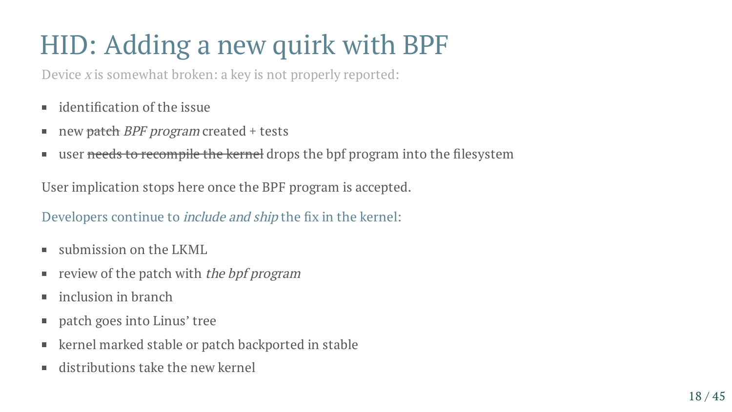## HID: Adding a new quirk with BPF

Device <sup>x</sup> is somewhat broken: a key is not properly reported:

- $\blacksquare$  identification of the issue
- new patch *BPF program* created + tests  $\blacksquare$
- user needs to recompile the kernel drops the bpf program into the filesystem  $\blacksquare$

User implication stops here once the BPF program is accepted.

Developers continue to include and ship the fix in the kernel:

- submission on the LKML  $\mathcal{L}_{\mathcal{A}}$
- review of the patch with the bpf program  $\blacksquare$
- inclusion in branch  $\blacksquare$
- patch goes into Linus' tree  $\blacksquare$
- kernel marked stable or patch backported in stable  $\overline{\phantom{a}}$
- distributions take the new kernel  $\blacksquare$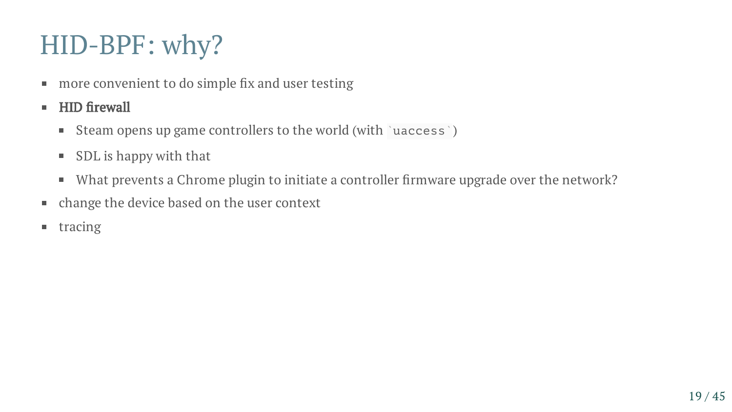- more convenient to do simple fix and user testing  $\blacksquare$
- HID firewall  $\blacksquare$ 
	- Steam opens up game controllers to the world (with `uaccess`)  $\blacksquare$
	- SDL is happy with that  $\blacksquare$
	- What prevents a Chrome plugin to initiate a controller firmware upgrade over the network?  $\blacksquare$
- change the device based on the user context  $\blacksquare$
- tracing  $\blacksquare$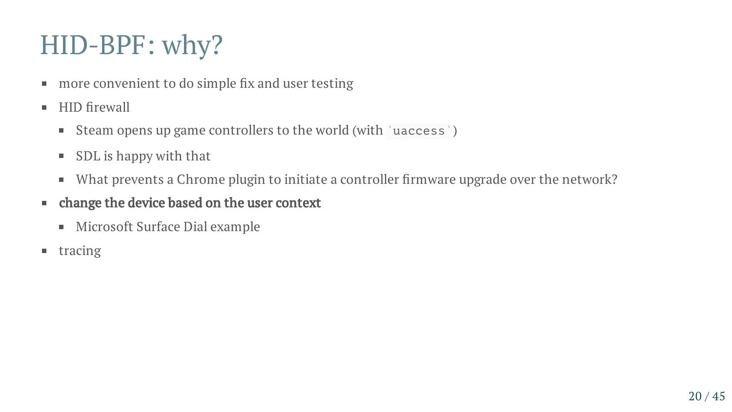- more convenient to do simple fix and user testing  $\blacksquare$
- HID firewall  $\blacksquare$ 
	- Steam opens up game controllers to the world (with `uaccess`)  $\Box$
	- SDL is happy with that  $\blacksquare$
	- What prevents a Chrome plugin to initiate a controller firmware upgrade over the network?  $\Box$
- change the device based on the user context  $\blacksquare$ 
	- Microsoft Surface Dial example  $\Box$
- $\blacksquare$  tracing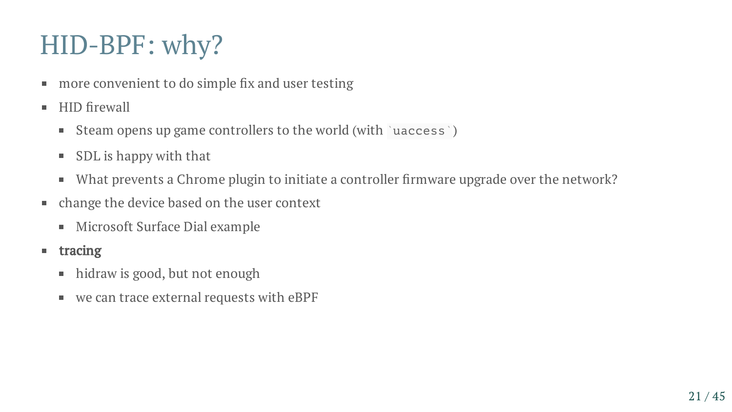- more convenient to do simple fix and user testing ш
- HID firewall  $\blacksquare$ 
	- Steam opens up game controllers to the world (with `uaccess`)  $\blacksquare$
	- SDL is happy with that  $\blacksquare$
	- What prevents a Chrome plugin to initiate a controller firmware upgrade over the network?  $\blacksquare$
- change the device based on the user context ш
	- Microsoft Surface Dial example  $\blacksquare$
- **u** tracing
	- hidraw is good, but not enough  $\blacksquare$
	- we can trace external requests with eBPF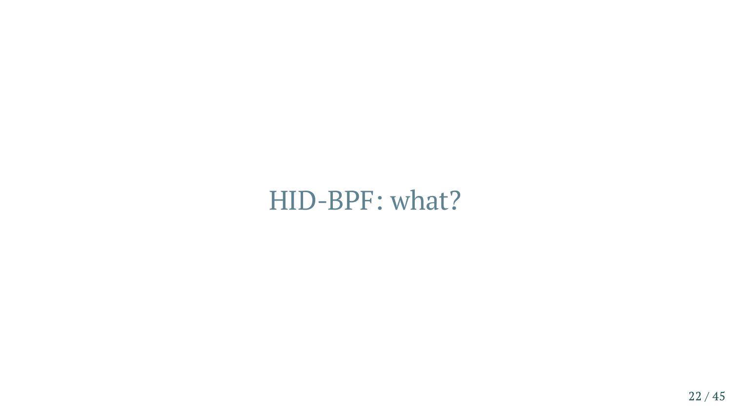#### HID-BPF: what?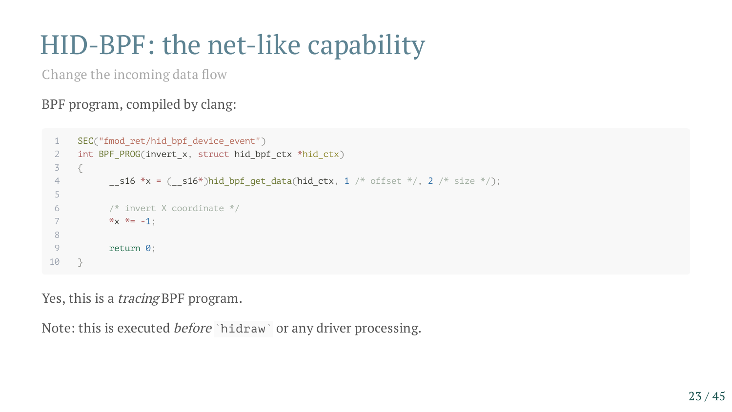#### HID-BPF: the net-like capability

BPF program, compiled by clang:

```
Change the incoming data flow<br>
BPF program, compiled by clang:<br>
\frac{\text{SEC}(\text{``mod\_ret/hid\_buff\_device\_event''})}{\text{``sim\_getP-PROG(invert\_x, "stnot. hid\_ptr, "hid\_ctx, 'hd\_ctx, 'hd\_ctx, '1 \text{''} offset \text{''}/, 2 \text{''} size \text{''})};<br>
\frac{6}{5}<br>
\frac{7}{7} \text{ 'simert X coordinate \text{''}}<br>
\frac{8}{7} return 0;<br>
Pes,
   1 SEC("fmod_ret/hid_bpf_device_event")
   2 int BPF_PROG(invert x, struct hid bpf ctx *hid ctx)
   3 {
   4 \qquad \qquad -s16 *x = (\qquads16*)hid_bpf_get_data(hid_ctx, 1 /* offset */, 2 /* size */);
   5
   6 /* invert X coordinate */
   7 *_{\mathsf{X}} *_{\mathsf{=}} -1;
   8
   9 return 0;
 10 }
```
Yes, this is a tracing BPF program.

Note: this is executed *before* `hidraw` or any driver processing.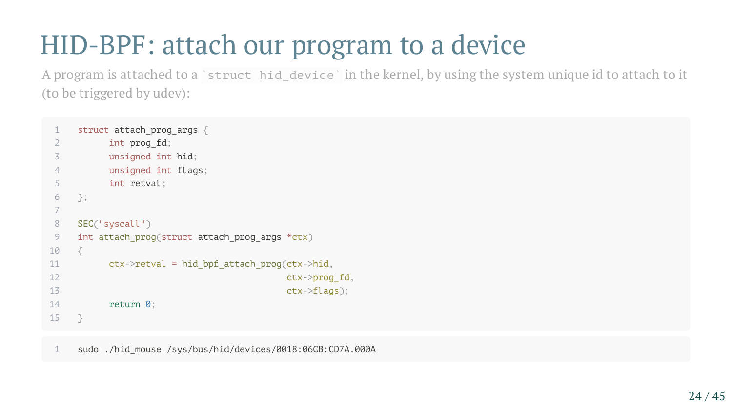### HID-BPF: attach our program to a device

A program is attached to a `struct hid\_device` in the kernel, by using the system unique id to attach to it (to be triggered by udev):

```
1 struct attach prog args {
2 int prog fd;
3 unsigned int hid;
4 unsigned int flags;
5 int retval;
6 };
7
8 SEC("syscall")
9 int attach prog(struct attach prog args *ctx)
10 {
11 ctx->retval = hid_bpf_attach_prog(ctx->hid,
12 ctx->prog_fd,
13 ctx->flags);
14 return 0;
15 }
```
1 sudo ./hid\_mouse /sys/bus/hid/devices/0018:06CB:CD7A.000A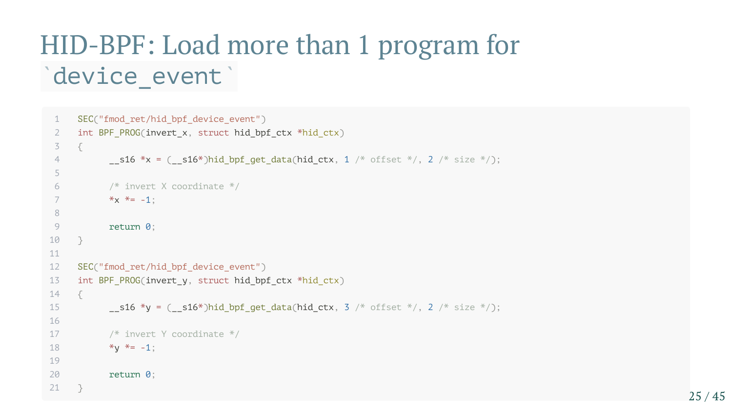#### HID-BPF: Load more than 1 program for device\_event ` `

```
1 SEC("fmod_ret/hid_bpf_device_event")
 2 int BPF_PROG(invert_x, struct hid_bpf_ctx *hid_ctx)
 3 {
 4 \sim s16 *x = ( s16*)hid bpf qet data(hid ctx, 1 /* offset */, 2 /* size */);
 5
 6 /* invert X coordinate */
 7 *_{\mathsf{X}} *_{\mathsf{=}} -1;
 8
 9 return 0;
10 }
11
12 SEC("fmod ret/hid bpf device event")
13 int BPF PROG(invert y, struct hid bpf ctx *hid ctx)
14 \frac{1}{1}15 \hspace{1cm} _s16 *y = (_s16*)hid_bpf_get_data(hid_ctx, 3 /* offset */, 2 /* size */);
16
17 /* invert Y coordinate */
18 *_{V} * = -1;
19
20 return 0;
21 }
```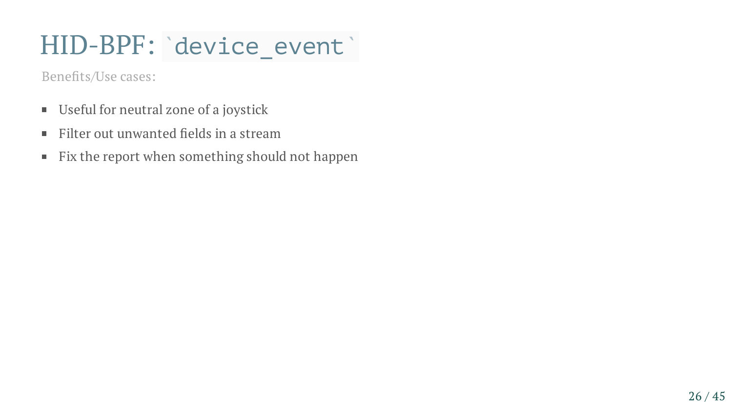#### HID-BPF: device\_event`

- Useful for neutral zone of a joystick Benefits/Use cases:<br>- Useful for neutra<br>- Filter out unwan<br>- Fix the report wl
- Filter out unwanted fields in a stream
- Fix the report when something should not happen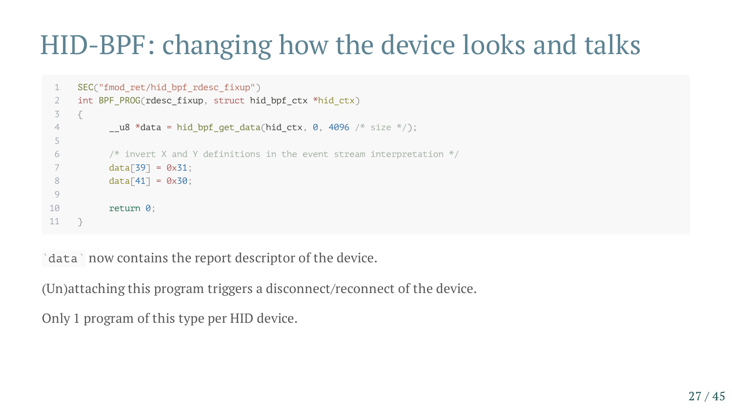#### HID-BPF: changing how the device looks and talks

```
1 SEC("fmod_ret/hid_bpf_rdesc_fixup")
 2 int BPF_PROG(rdesc_fixup, struct hid_bpf_ctx *hid_ctx)
 3 {
 4 \mu u8 *data = hid bpf get data(hid ctx, 0, 4096 /* size */);
 5
 6 /* invert X and Y definitions in the event stream interpretation */
 7 data[39] = 0x31;8 data[41] = 0 \times 30;
 9
10 return 0;
11 }
```
data ` now contains the report descriptor of the device.

(Un)attaching this program triggers a disconnect/reconnect of the device.

Only 1 program of this type per HID device.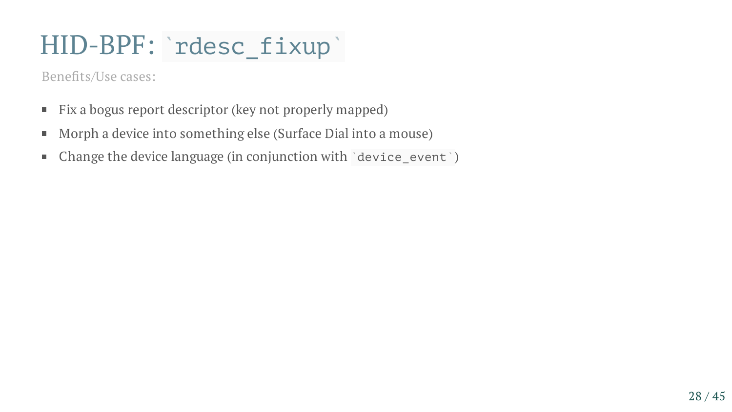#### HID-BPF: `rdesc\_fixup`

- Fix a bogus report descriptor (key not properly mapped) Benefits/Use cases:<br>
Fix a bogus report<br>
Morph a device is<br>
Change the device
- Morph a device into something else (Surface Dial into a mouse)
- Change the device language (in conjunction with  $\delta$  device\_event  $\delta$ )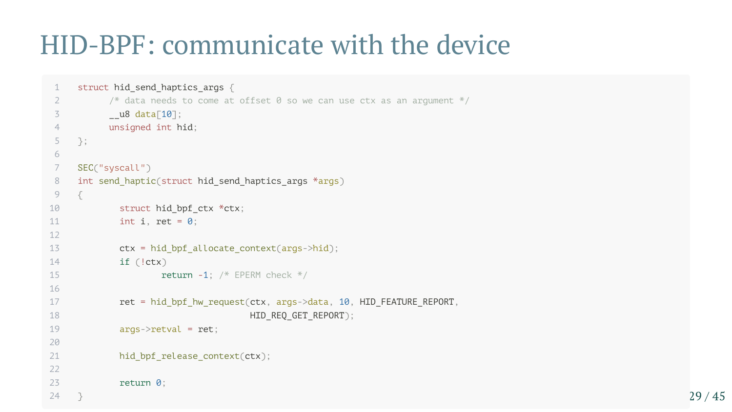#### HID-BPF: communicate with the device

```
1 struct hid send haptics args {
 2 \frac{1}{2} /* data needs to come at offset 0 so we can use ctx as an argument \frac{2}{1}3 __u8 data[10];
 4 unsigned int hid;
 5 };
 6
 7 SEC("syscall")
 8 int send haptic(struct hid send haptics args *args)
9 {
10 struct hid bpf ctx *ctx;
11 int i, ret = 0;
12
13 ctx = hid bpf allocate context(args->hid);
14 if (!ctx)
15 return -1; /* EPERM check */
16
17 ret = hid_bpf_hw_request(ctx, args->data, 10, HID_FEATURE_REPORT,
18 HID REQ GET REPORT);
19 args->retval = ret;
20
21 hid_bpf_release_context(ctx);
22
23 return 0;
24 }
```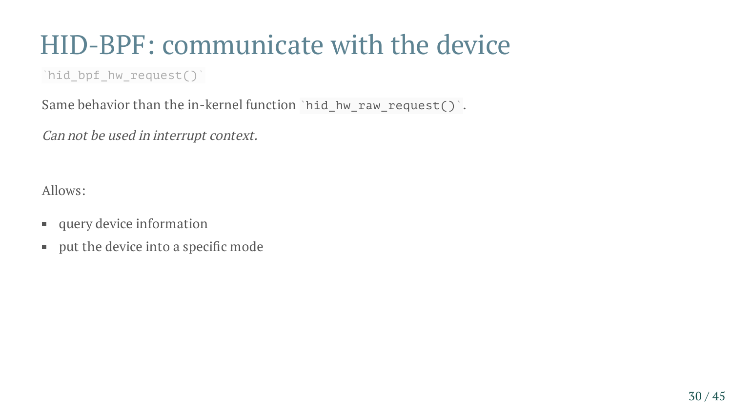#### HID-BPF: communicate with the device

`hid\_bpf\_hw\_request()`

Same behavior than the in-kernel function `hid\_hw\_raw\_request() .

Can not be used in interrupt context.

Allows:

- **query device information**
- **put the device into a specific mode**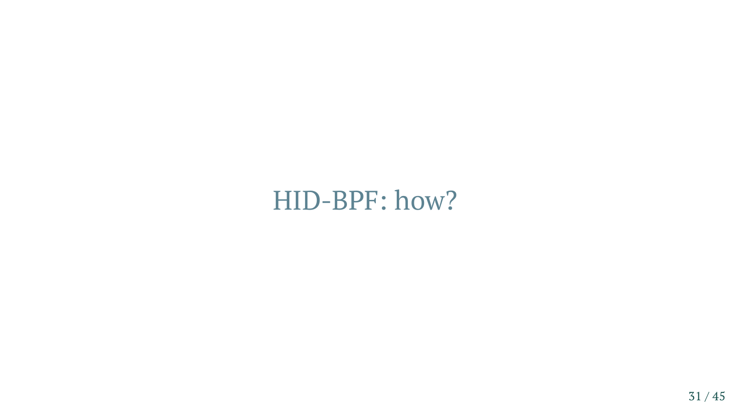#### HID-BPF: how?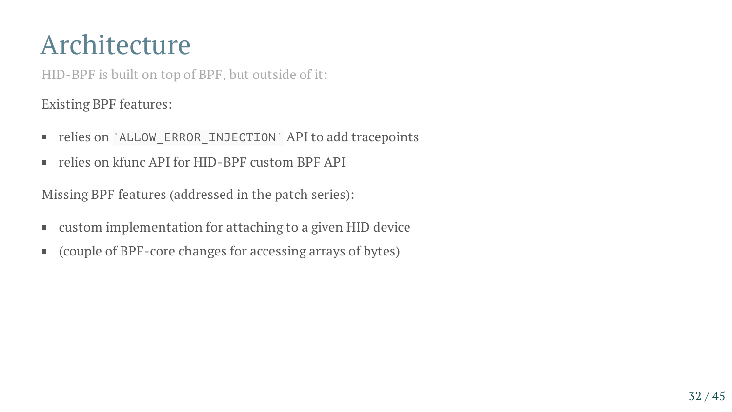#### Architecture

HID-BPF is built on top of BPF, but outside of it:

Existing BPF features:

- relies on `ALLOW\_ERROR\_INJECTION` API to add tracepoints
- relies on kfunc API for HID-BPF custom BPF API

Missing BPF features (addressed in the patch series):

- custom implementation for attaching to a given HID device  $\blacksquare$
- (couple of BPF-core changes for accessing arrays of bytes)  $\mathcal{L}_{\mathcal{A}}$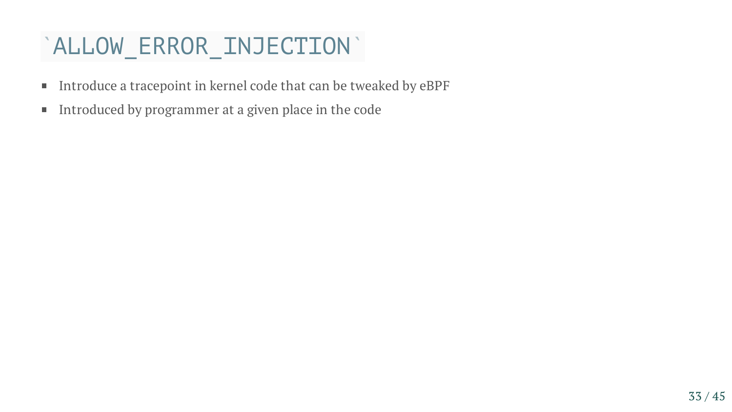#### `ALLOW\_ERROR\_INJECTION`

- Introduce a tracepoint in kernel code that can be tweaked by eBPF  $\blacksquare$
- Introduced by programmer at a given place in the code  $\blacksquare$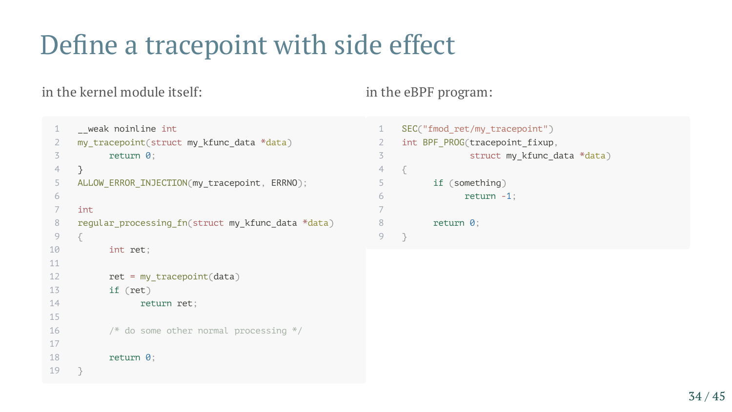## Define a tracepoint with side effect

#### in the kernel module itself: in the eBPF program:

```
1 weak noinline int
 2 my tracepoint(struct my kfunc data *data)
 3 return 0;
 4 }
 5 ALLOW_ERROR_INJECTION(my_tracepoint, ERRNO);
 6
 7 int
 8 regular processing fn(struct my kfunc data *data)
 9 {
10 int ret;
11
12 ret = my tracepoint(data)
13 if (ret)
14 return ret;
15
16 /* do some other normal processing */
17
18 return 0;
19 }
```

| $\mathbf{1}$<br>SEC("fmod ret/my tracepoint")    |  |
|--------------------------------------------------|--|
| $\overline{2}$<br>int BPF PROG(tracepoint fixup, |  |
| 3<br>struct my_kfunc_data *data)                 |  |
| $\overline{4}$                                   |  |
| 5<br>if (something)                              |  |
| 6<br>$return -1$ :                               |  |
| $\overline{7}$                                   |  |
| 8<br>return 0:                                   |  |
|                                                  |  |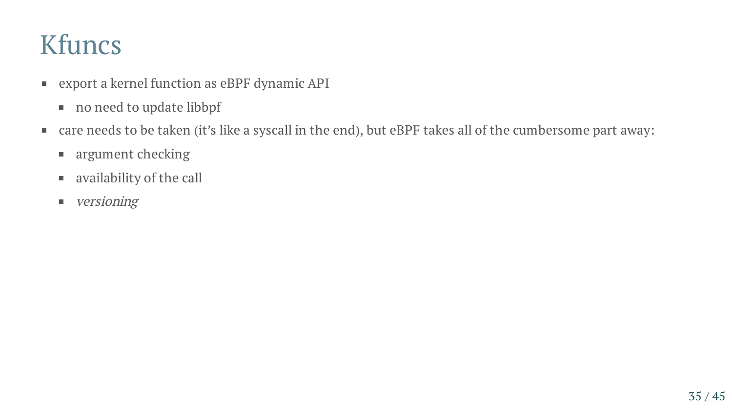#### Kfuncs

- export a kernel function as eBPF dynamic API
	- no need to update libbpf
- care needs to be taken (it's like a syscall in the end), but eBPF takes all of the cumbersome part away:
	- **argument checking**
	- availability of the call
	- **versioning**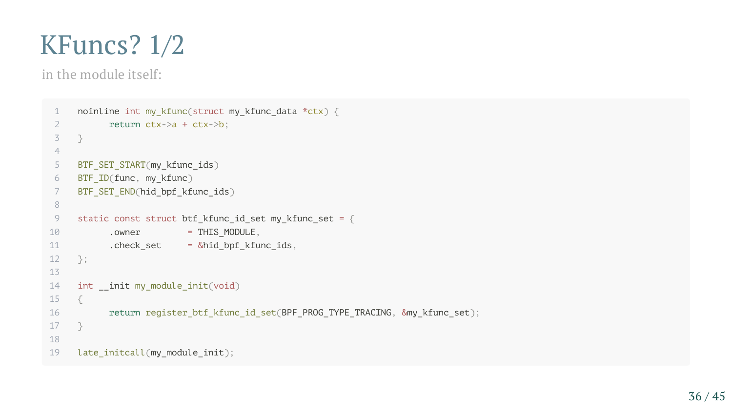#### KFuncs? 1/2

in the module itself:

```
1 noinline int my_kfunc(struct my_kfunc_data *ctx) {
 2 return ctx->a + ctx->b;
 3 }
 4
 5 BTF_SET_START(my_kfunc_ids)
 6 BTF_ID(func, my_kfunc)
7 BTF_SET_END(hid_bpf_kfunc_ids)
8
9 static const struct btf_kfunc_id_set my_kfunc_set = {
10 .owner = THIS_MODULE,
11 .check_set = &hid_bpf_kfunc_ids,
12 };
13
14 int __init my_module_init(void)
15 {
16 return register_btf_kfunc_id_set(BPF_PROG_TYPE_TRACING, &my_kfunc_set);
17 }
18
19 late_initcall(my_module_init);
```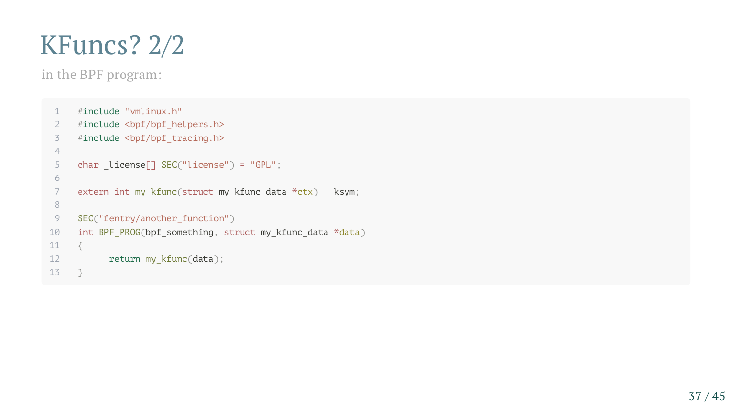#### KFuncs? 2/2

in the BPF program:

```
1 #include "vmlinux.h"
 2 #include <bpf/bpf_helpers.h>
 3 #include <bpf/bpf_tracing.h>
 4
 5 char _license[] SEC("license") = "GPL";
 6
 7 extern int my_kfunc(struct my_kfunc_data *ctx) __ksym;
 8
 9 SEC("fentry/another_function")
10 int BPF_PROG(bpf_something, struct my_kfunc_data *data)
11 \t 512 return my_kfunc(data);
13 }
```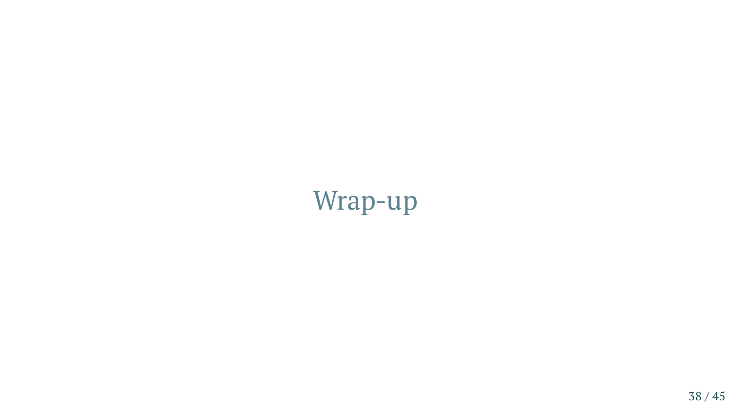#### Wrap-up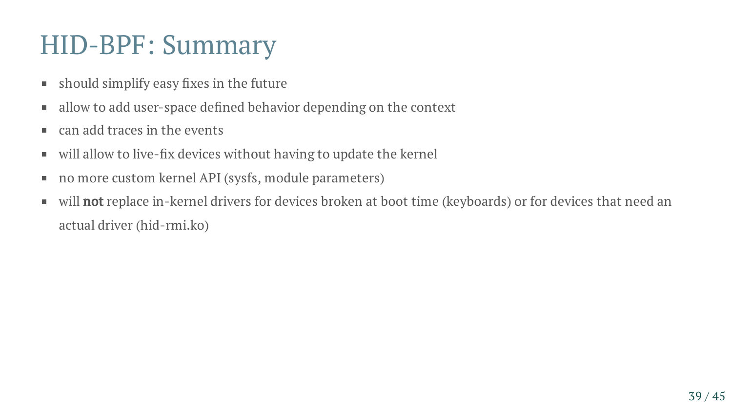#### HID-BPF: Summary

- should simplify easy fixes in the future  $\blacksquare$
- allow to add user-space defined behavior depending on the context  $\blacksquare$
- can add traces in the events  $\mathcal{L}_{\mathcal{A}}$
- will allow to live-fix devices without having to update the kernel  $\blacksquare$
- no more custom kernel API (sysfs, module parameters)  $\blacksquare$
- will **not** replace in-kernel drivers for devices broken at boot time (keyboards) or for devices that need an  $\blacksquare$ actual driver (hid-rmi.ko)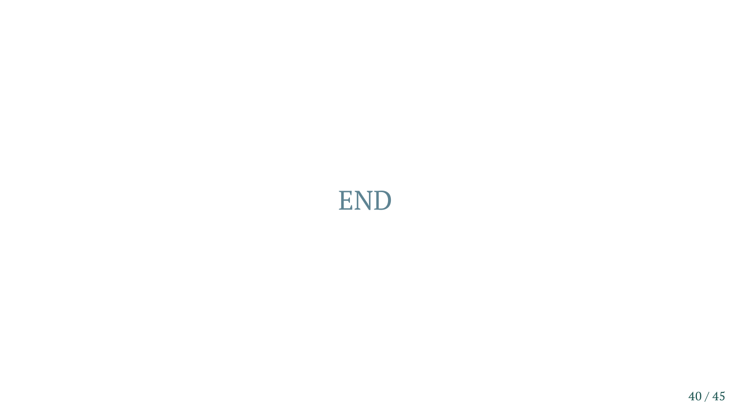#### END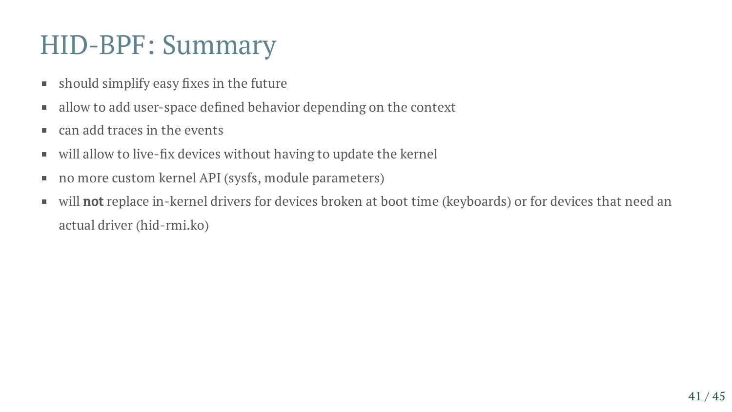#### HID-BPF: Summary

- should simplify easy fixes in the future  $\blacksquare$
- allow to add user-space defined behavior depending on the context  $\blacksquare$
- can add traces in the events  $\mathcal{L}_{\mathcal{A}}$
- will allow to live-fix devices without having to update the kernel  $\blacksquare$
- no more custom kernel API (sysfs, module parameters)  $\blacksquare$
- will **not** replace in-kernel drivers for devices broken at boot time (keyboards) or for devices that need an  $\blacksquare$ actual driver (hid-rmi.ko)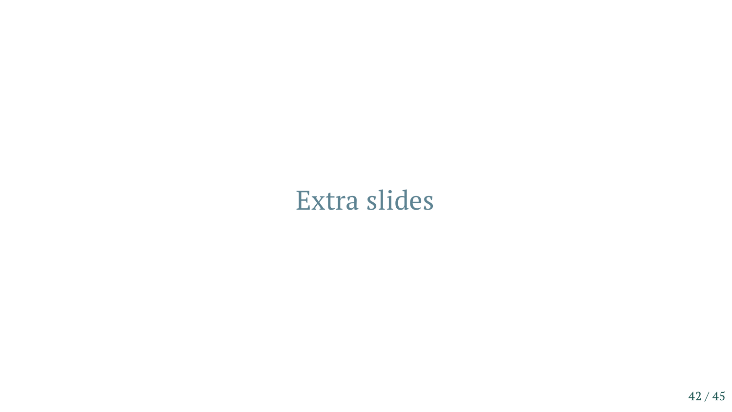#### Extra slides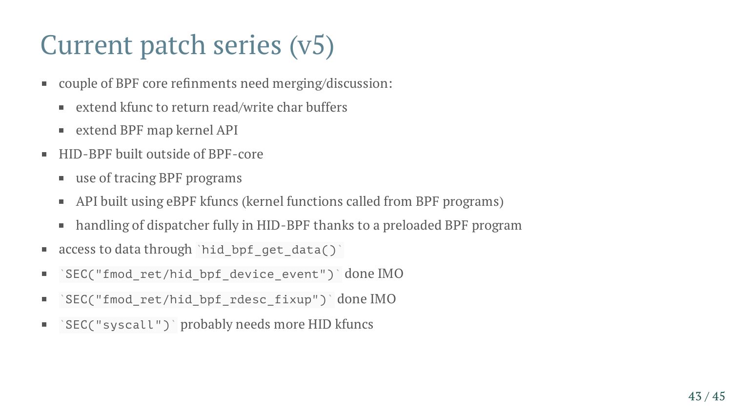#### Current patch series (v5)

- couple of BPF core refinments need merging/discussion:  $\blacksquare$ 
	- extend kfunc to return read/write char buffers
	- extend BPF map kernel API
- HID-BPF built outside of BPF-core  $\blacksquare$ 
	- use of tracing BPF programs
	- API built using eBPF kfuncs (kernel functions called from BPF programs)  $\blacksquare$
	- handling of dispatcher fully in HID-BPF thanks to a preloaded BPF program  $\overline{\phantom{a}}$
- access to data through `hid\_bpf\_get\_data()`  $\blacksquare$
- `SEC("fmod\_ret/hid\_bpf\_device\_event")` done IMO п.
- `SEC("fmod\_ret/hid\_bpf\_rdesc\_fixup")`done IMO  $\overline{\phantom{a}}$
- `SEC("syscall")` probably needs more HID kfuncs  $\overline{\phantom{a}}$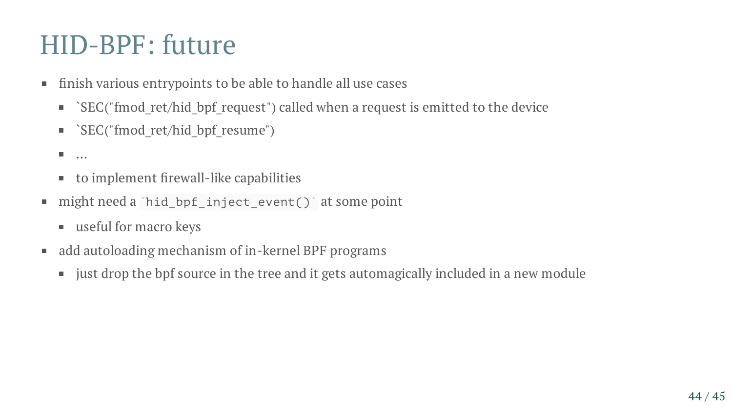#### HID-BPF: future

- finish various entrypoints to be able to handle all use cases  $\blacksquare$ 
	- $\blacksquare$  `SEC("fmod ret/hid bpf request") called when a request is emitted to the device
	- **Example 13 SEC("fmod\_ret/hid\_bpf\_resume")**
	- $\overline{\phantom{a}}$ …
	- to implement firewall-like capabilities  $\blacksquare$
- might need a `hid\_bpf\_inject\_event()`at some point  $\blacksquare$ 
	- useful for macro keys
- add autoloading mechanism of in-kernel BPF programs  $\blacksquare$ 
	- just drop the bpf source in the tree and it gets automagically included in a new module